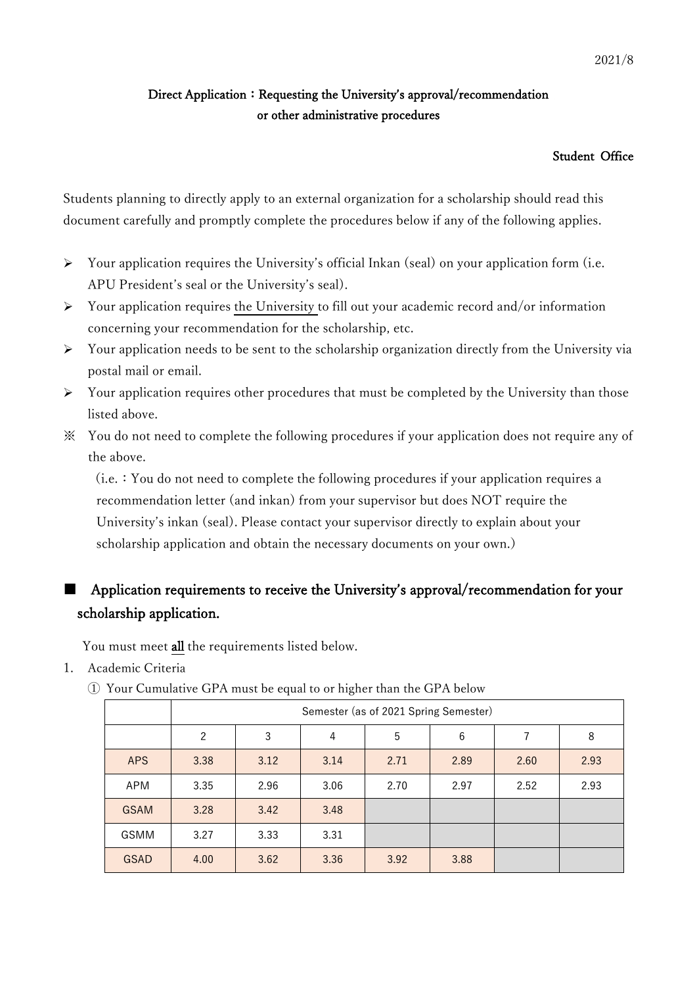### Direct Application: Requesting the University's approval/recommendation or other administrative procedures

#### Student Office

Students planning to directly apply to an external organization for a scholarship should read this document carefully and promptly complete the procedures below if any of the following applies.

- $\triangleright$  Your application requires the University's official Inkan (seal) on your application form (i.e. APU President's seal or the University's seal).
- $\triangleright$  Your application requires the University to fill out your academic record and/or information concerning your recommendation for the scholarship, etc.
- $\triangleright$  Your application needs to be sent to the scholarship organization directly from the University via postal mail or email.
- $\triangleright$  Your application requires other procedures that must be completed by the University than those listed above.
- ※ You do not need to complete the following procedures if your application does not require any of the above.

(i.e.:You do not need to complete the following procedures if your application requires a recommendation letter (and inkan) from your supervisor but does NOT require the University's inkan (seal). Please contact your supervisor directly to explain about your scholarship application and obtain the necessary documents on your own.)

# ■ Application requirements to receive the University's approval/recommendation for your scholarship application.

You must meet all the requirements listed below.

- 1. Academic Criteria
	- ① Your Cumulative GPA must be equal to or higher than the GPA below

|             | Semester (as of 2021 Spring Semester) |      |      |      |      |      |      |  |  |  |  |  |
|-------------|---------------------------------------|------|------|------|------|------|------|--|--|--|--|--|
|             | $\overline{2}$                        | 3    | 4    | 5    | 6    |      | 8    |  |  |  |  |  |
| <b>APS</b>  | 3.38                                  | 3.12 | 3.14 | 2.71 | 2.89 | 2.60 | 2.93 |  |  |  |  |  |
| APM         | 3.35                                  | 2.96 | 3.06 | 2.70 | 2.97 | 2.52 | 2.93 |  |  |  |  |  |
| <b>GSAM</b> | 3.28                                  | 3.42 | 3.48 |      |      |      |      |  |  |  |  |  |
| GSMM        | 3.27                                  | 3.33 | 3.31 |      |      |      |      |  |  |  |  |  |
| <b>GSAD</b> | 4.00                                  | 3.62 | 3.36 | 3.92 | 3.88 |      |      |  |  |  |  |  |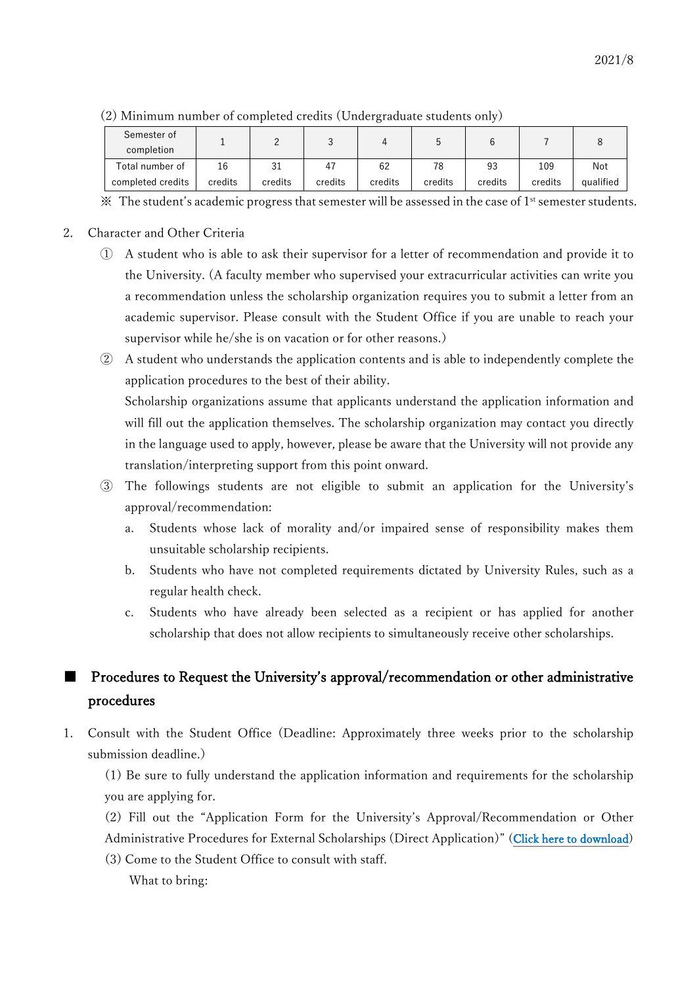| Semester of<br>completion |         |              |         |         |         |         |         |           |
|---------------------------|---------|--------------|---------|---------|---------|---------|---------|-----------|
| Total number of           | 16      | $\sim$<br>⊥ت | 47      | 62      | 78      | 93      | 109     | Not       |
| completed credits         | credits | credits      | credits | credits | credits | credits | credits | qualified |

(2) Minimum number of completed credits (Undergraduate students only)

 $\mathbb X$  The student's academic progress that semester will be assessed in the case of 1<sup>st</sup> semester students.

#### 2. Character and Other Criteria

- ① A student who is able to ask their supervisor for a letter of recommendation and provide it to the University. (A faculty member who supervised your extracurricular activities can write you a recommendation unless the scholarship organization requires you to submit a letter from an academic supervisor. Please consult with the Student Office if you are unable to reach your supervisor while he/she is on vacation or for other reasons.)
- ② A student who understands the application contents and is able to independently complete the application procedures to the best of their ability. Scholarship organizations assume that applicants understand the application information and will fill out the application themselves. The scholarship organization may contact you directly in the language used to apply, however, please be aware that the University will not provide any translation/interpreting support from this point onward.
- ③ The followings students are not eligible to submit an application for the University's approval/recommendation:
	- a. Students whose lack of morality and/or impaired sense of responsibility makes them unsuitable scholarship recipients.
	- b. Students who have not completed requirements dictated by University Rules, such as a regular health check.
	- c. Students who have already been selected as a recipient or has applied for another scholarship that does not allow recipients to simultaneously receive other scholarships.

## Procedures to Request the University's approval/recommendation or other administrative procedures

1. Consult with the Student Office (Deadline: Approximately three weeks prior to the scholarship submission deadline.)

(1) Be sure to fully understand the application information and requirements for the scholarship you are applying for.

(2) Fill out the "Application Form for the University's Approval/Recommendation or Other Administrative Procedures for External Scholarships (Direct Application)" ([Click here to download](https://en.apu.ac.jp/studentsupport/page/content0220/External_scholarship_Applicationform_E.xlsx))

(3) Come to the Student Office to consult with staff.

What to bring: